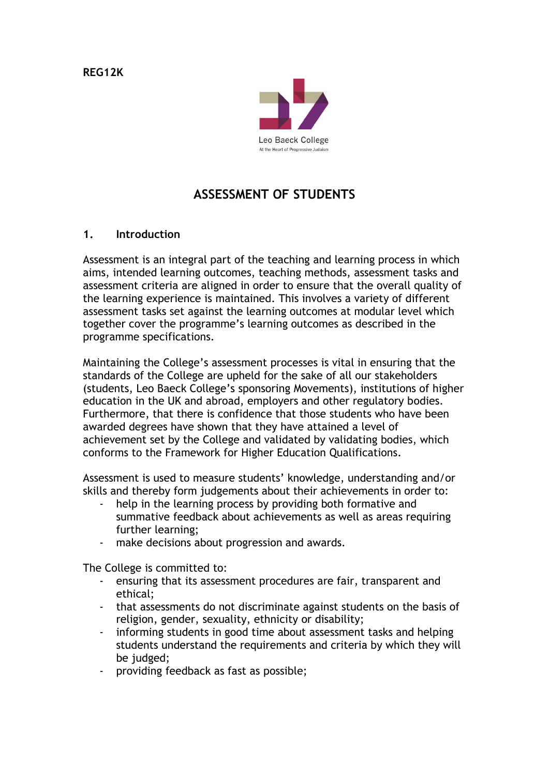**REG12K**



# **ASSESSMENT OF STUDENTS**

#### **1. Introduction**

Assessment is an integral part of the teaching and learning process in which aims, intended learning outcomes, teaching methods, assessment tasks and assessment criteria are aligned in order to ensure that the overall quality of the learning experience is maintained. This involves a variety of different assessment tasks set against the learning outcomes at modular level which together cover the programme's learning outcomes as described in the programme specifications.

Maintaining the College's assessment processes is vital in ensuring that the standards of the College are upheld for the sake of all our stakeholders (students, Leo Baeck College's sponsoring Movements), institutions of higher education in the UK and abroad, employers and other regulatory bodies. Furthermore, that there is confidence that those students who have been awarded degrees have shown that they have attained a level of achievement set by the College and validated by validating bodies, which conforms to the Framework for Higher Education Qualifications.

Assessment is used to measure students' knowledge, understanding and/or skills and thereby form judgements about their achievements in order to:

- help in the learning process by providing both formative and summative feedback about achievements as well as areas requiring further learning;
- make decisions about progression and awards.

The College is committed to:

- ensuring that its assessment procedures are fair, transparent and ethical;
- that assessments do not discriminate against students on the basis of religion, gender, sexuality, ethnicity or disability;
- informing students in good time about assessment tasks and helping students understand the requirements and criteria by which they will be judged;
- providing feedback as fast as possible;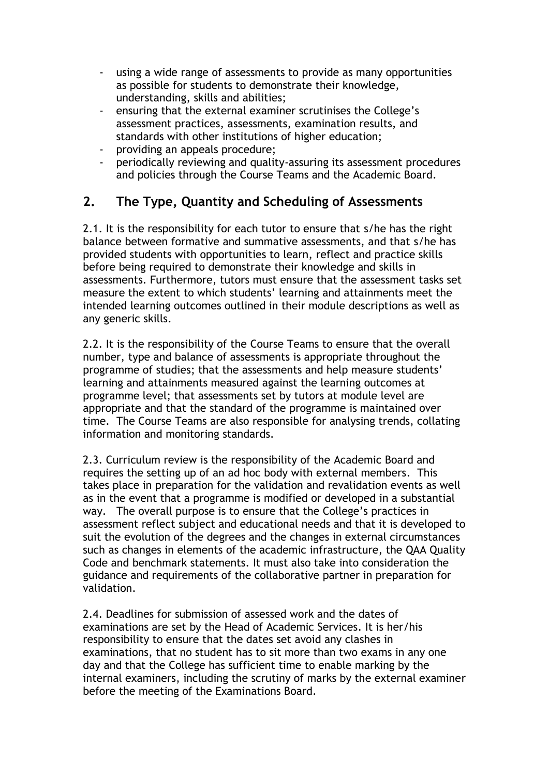- using a wide range of assessments to provide as many opportunities as possible for students to demonstrate their knowledge, understanding, skills and abilities;
- ensuring that the external examiner scrutinises the College's assessment practices, assessments, examination results, and standards with other institutions of higher education;
- providing an appeals procedure;
- periodically reviewing and quality-assuring its assessment procedures and policies through the Course Teams and the Academic Board.

# **2. The Type, Quantity and Scheduling of Assessments**

2.1. It is the responsibility for each tutor to ensure that s/he has the right balance between formative and summative assessments, and that s/he has provided students with opportunities to learn, reflect and practice skills before being required to demonstrate their knowledge and skills in assessments. Furthermore, tutors must ensure that the assessment tasks set measure the extent to which students' learning and attainments meet the intended learning outcomes outlined in their module descriptions as well as any generic skills.

2.2. It is the responsibility of the Course Teams to ensure that the overall number, type and balance of assessments is appropriate throughout the programme of studies; that the assessments and help measure students' learning and attainments measured against the learning outcomes at programme level; that assessments set by tutors at module level are appropriate and that the standard of the programme is maintained over time. The Course Teams are also responsible for analysing trends, collating information and monitoring standards.

2.3. Curriculum review is the responsibility of the Academic Board and requires the setting up of an ad hoc body with external members. This takes place in preparation for the validation and revalidation events as well as in the event that a programme is modified or developed in a substantial way. The overall purpose is to ensure that the College's practices in assessment reflect subject and educational needs and that it is developed to suit the evolution of the degrees and the changes in external circumstances such as changes in elements of the academic infrastructure, the QAA Quality Code and benchmark statements. It must also take into consideration the guidance and requirements of the collaborative partner in preparation for validation.

2.4. Deadlines for submission of assessed work and the dates of examinations are set by the Head of Academic Services. It is her/his responsibility to ensure that the dates set avoid any clashes in examinations, that no student has to sit more than two exams in any one day and that the College has sufficient time to enable marking by the internal examiners, including the scrutiny of marks by the external examiner before the meeting of the Examinations Board.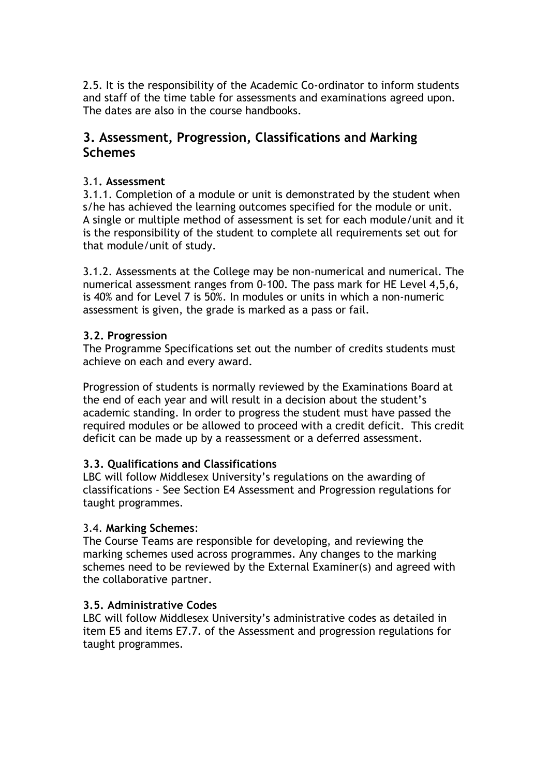2.5. It is the responsibility of the Academic Co-ordinator to inform students and staff of the time table for assessments and examinations agreed upon. The dates are also in the course handbooks.

### **3. Assessment, Progression, Classifications and Marking Schemes**

### 3.1**. Assessment**

3.1.1. Completion of a module or unit is demonstrated by the student when s/he has achieved the learning outcomes specified for the module or unit. A single or multiple method of assessment is set for each module/unit and it is the responsibility of the student to complete all requirements set out for that module/unit of study.

3.1.2. Assessments at the College may be non-numerical and numerical. The numerical assessment ranges from 0-100. The pass mark for HE Level 4,5,6, is 40% and for Level 7 is 50%. In modules or units in which a non-numeric assessment is given, the grade is marked as a pass or fail.

#### **3.2. Progression**

The Programme Specifications set out the number of credits students must achieve on each and every award.

Progression of students is normally reviewed by the Examinations Board at the end of each year and will result in a decision about the student's academic standing. In order to progress the student must have passed the required modules or be allowed to proceed with a credit deficit. This credit deficit can be made up by a reassessment or a deferred assessment.

### **3.3. Qualifications and Classifications**

LBC will follow Middlesex University's regulations on the awarding of classifications - See Section E4 Assessment and Progression regulations for taught programmes.

#### 3.4. **Marking Schemes**:

The Course Teams are responsible for developing, and reviewing the marking schemes used across programmes. Any changes to the marking schemes need to be reviewed by the External Examiner(s) and agreed with the collaborative partner.

#### **3.5. Administrative Codes**

LBC will follow Middlesex University's administrative codes as detailed in item E5 and items E7.7. of the Assessment and progression regulations for taught programmes.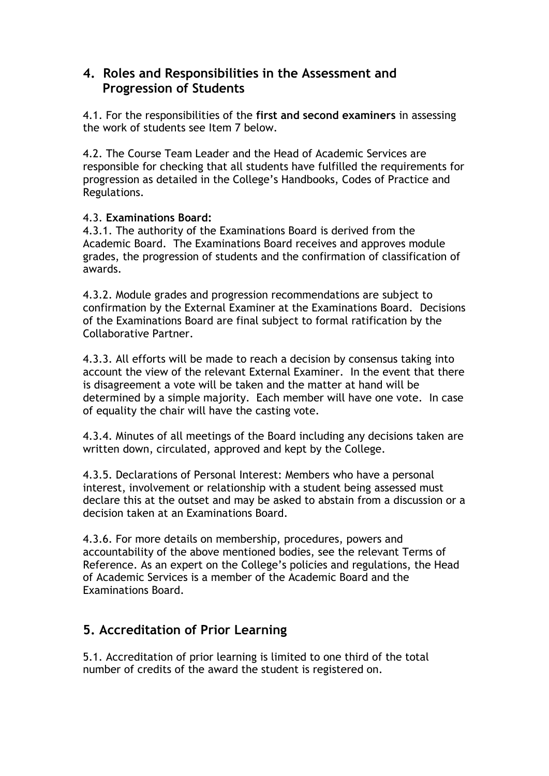### **4. Roles and Responsibilities in the Assessment and Progression of Students**

4.1. For the responsibilities of the **first and second examiners** in assessing the work of students see Item 7 below.

4.2. The Course Team Leader and the Head of Academic Services are responsible for checking that all students have fulfilled the requirements for progression as detailed in the College's Handbooks, Codes of Practice and Regulations.

#### 4.3. **Examinations Board:**

4.3.1. The authority of the Examinations Board is derived from the Academic Board. The Examinations Board receives and approves module grades, the progression of students and the confirmation of classification of awards.

4.3.2. Module grades and progression recommendations are subject to confirmation by the External Examiner at the Examinations Board. Decisions of the Examinations Board are final subject to formal ratification by the Collaborative Partner.

4.3.3. All efforts will be made to reach a decision by consensus taking into account the view of the relevant External Examiner. In the event that there is disagreement a vote will be taken and the matter at hand will be determined by a simple majority. Each member will have one vote. In case of equality the chair will have the casting vote.

4.3.4. Minutes of all meetings of the Board including any decisions taken are written down, circulated, approved and kept by the College.

4.3.5. Declarations of Personal Interest: Members who have a personal interest, involvement or relationship with a student being assessed must declare this at the outset and may be asked to abstain from a discussion or a decision taken at an Examinations Board.

4.3.6. For more details on membership, procedures, powers and accountability of the above mentioned bodies, see the relevant Terms of Reference. As an expert on the College's policies and regulations, the Head of Academic Services is a member of the Academic Board and the Examinations Board.

## **5. Accreditation of Prior Learning**

5.1. Accreditation of prior learning is limited to one third of the total number of credits of the award the student is registered on.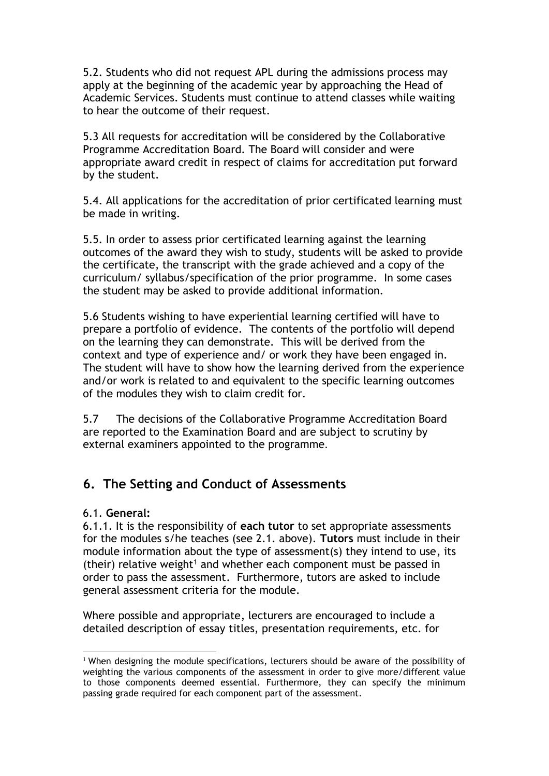5.2. Students who did not request APL during the admissions process may apply at the beginning of the academic year by approaching the Head of Academic Services. Students must continue to attend classes while waiting to hear the outcome of their request.

5.3 All requests for accreditation will be considered by the Collaborative Programme Accreditation Board. The Board will consider and were appropriate award credit in respect of claims for accreditation put forward by the student.

5.4. All applications for the accreditation of prior certificated learning must be made in writing.

5.5. In order to assess prior certificated learning against the learning outcomes of the award they wish to study, students will be asked to provide the certificate, the transcript with the grade achieved and a copy of the curriculum/ syllabus/specification of the prior programme. In some cases the student may be asked to provide additional information.

5.6 Students wishing to have experiential learning certified will have to prepare a portfolio of evidence. The contents of the portfolio will depend on the learning they can demonstrate. This will be derived from the context and type of experience and/ or work they have been engaged in. The student will have to show how the learning derived from the experience and/or work is related to and equivalent to the specific learning outcomes of the modules they wish to claim credit for.

5.7 The decisions of the Collaborative Programme Accreditation Board are reported to the Examination Board and are subject to scrutiny by external examiners appointed to the programme.

## **6. The Setting and Conduct of Assessments**

### 6.1. **General:**

6.1.1. It is the responsibility of **each tutor** to set appropriate assessments for the modules s/he teaches (see 2.1. above). **Tutors** must include in their module information about the type of assessment(s) they intend to use, its (their) relative weight<sup>1</sup> and whether each component must be passed in order to pass the assessment. Furthermore, tutors are asked to include general assessment criteria for the module.

Where possible and appropriate, lecturers are encouraged to include a detailed description of essay titles, presentation requirements, etc. for

<sup>&</sup>lt;u>.</u> <sup>1</sup> When designing the module specifications, lecturers should be aware of the possibility of weighting the various components of the assessment in order to give more/different value to those components deemed essential. Furthermore, they can specify the minimum passing grade required for each component part of the assessment.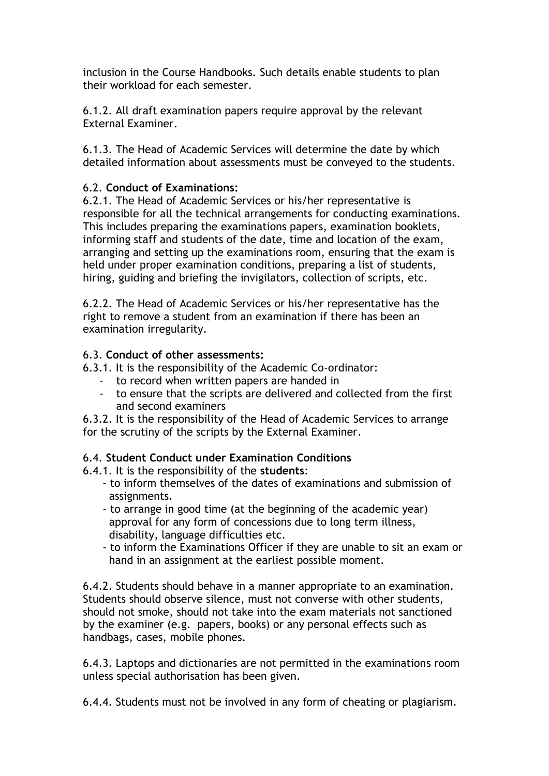inclusion in the Course Handbooks. Such details enable students to plan their workload for each semester.

6.1.2. All draft examination papers require approval by the relevant External Examiner.

6.1.3. The Head of Academic Services will determine the date by which detailed information about assessments must be conveyed to the students.

### 6.2. **Conduct of Examinations:**

6.2.1. The Head of Academic Services or his/her representative is responsible for all the technical arrangements for conducting examinations. This includes preparing the examinations papers, examination booklets, informing staff and students of the date, time and location of the exam, arranging and setting up the examinations room, ensuring that the exam is held under proper examination conditions, preparing a list of students, hiring, guiding and briefing the invigilators, collection of scripts, etc.

6.2.2. The Head of Academic Services or his/her representative has the right to remove a student from an examination if there has been an examination irregularity.

### 6.3. **Conduct of other assessments:**

- 6.3.1. It is the responsibility of the Academic Co-ordinator:
	- to record when written papers are handed in
	- to ensure that the scripts are delivered and collected from the first and second examiners

6.3.2. It is the responsibility of the Head of Academic Services to arrange for the scrutiny of the scripts by the External Examiner.

### 6.4. **Student Conduct under Examination Conditions**

6.4.1. It is the responsibility of the **students**:

- to inform themselves of the dates of examinations and submission of assignments.
- to arrange in good time (at the beginning of the academic year) approval for any form of concessions due to long term illness, disability, language difficulties etc.
- to inform the Examinations Officer if they are unable to sit an exam or hand in an assignment at the earliest possible moment.

6.4.2. Students should behave in a manner appropriate to an examination. Students should observe silence, must not converse with other students, should not smoke, should not take into the exam materials not sanctioned by the examiner (e.g. papers, books) or any personal effects such as handbags, cases, mobile phones.

6.4.3. Laptops and dictionaries are not permitted in the examinations room unless special authorisation has been given.

6.4.4. Students must not be involved in any form of cheating or plagiarism.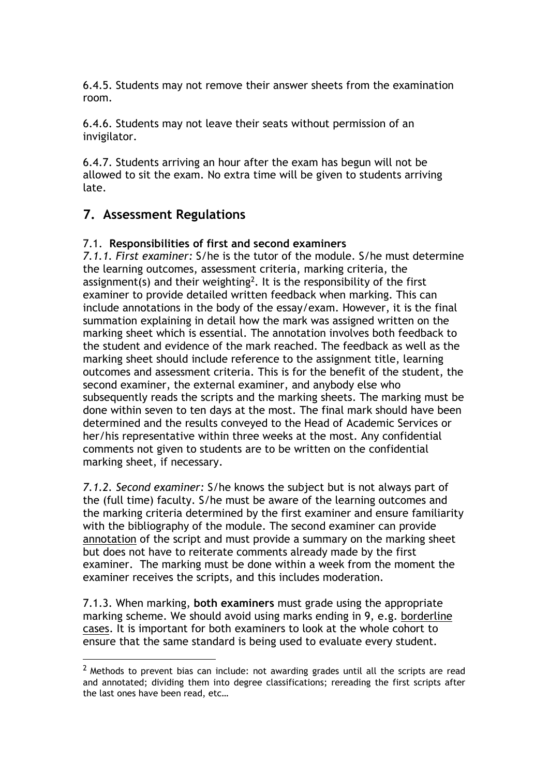6.4.5. Students may not remove their answer sheets from the examination room.

6.4.6. Students may not leave their seats without permission of an invigilator.

6.4.7. Students arriving an hour after the exam has begun will not be allowed to sit the exam. No extra time will be given to students arriving late.

## **7. Assessment Regulations**

1

#### 7.1. **Responsibilities of first and second examiners**

*7.1.1. First examiner:* S/he is the tutor of the module. S/he must determine the learning outcomes, assessment criteria, marking criteria, the assignment(s) and their weighting<sup>2</sup>. It is the responsibility of the first examiner to provide detailed written feedback when marking. This can include annotations in the body of the essay/exam. However, it is the final summation explaining in detail how the mark was assigned written on the marking sheet which is essential. The annotation involves both feedback to the student and evidence of the mark reached. The feedback as well as the marking sheet should include reference to the assignment title, learning outcomes and assessment criteria. This is for the benefit of the student, the second examiner, the external examiner, and anybody else who subsequently reads the scripts and the marking sheets. The marking must be done within seven to ten days at the most. The final mark should have been determined and the results conveyed to the Head of Academic Services or her/his representative within three weeks at the most. Any confidential comments not given to students are to be written on the confidential marking sheet, if necessary.

*7.1.2. Second examiner:* S/he knows the subject but is not always part of the (full time) faculty. S/he must be aware of the learning outcomes and the marking criteria determined by the first examiner and ensure familiarity with the bibliography of the module. The second examiner can provide annotation of the script and must provide a summary on the marking sheet but does not have to reiterate comments already made by the first examiner. The marking must be done within a week from the moment the examiner receives the scripts, and this includes moderation.

7.1.3. When marking, **both examiners** must grade using the appropriate marking scheme. We should avoid using marks ending in 9, e.g. borderline cases. It is important for both examiners to look at the whole cohort to ensure that the same standard is being used to evaluate every student.

 $<sup>2</sup>$  Methods to prevent bias can include: not awarding grades until all the scripts are read</sup> and annotated; dividing them into degree classifications; rereading the first scripts after the last ones have been read, etc…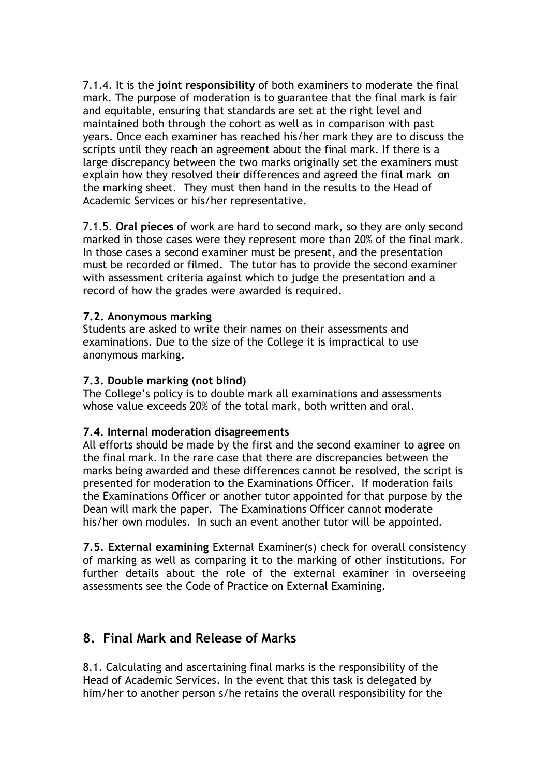7.1.4. It is the **joint responsibility** of both examiners to moderate the final mark. The purpose of moderation is to guarantee that the final mark is fair and equitable, ensuring that standards are set at the right level and maintained both through the cohort as well as in comparison with past years. Once each examiner has reached his/her mark they are to discuss the scripts until they reach an agreement about the final mark. If there is a large discrepancy between the two marks originally set the examiners must explain how they resolved their differences and agreed the final mark on the marking sheet. They must then hand in the results to the Head of Academic Services or his/her representative.

7.1.5. **Oral pieces** of work are hard to second mark, so they are only second marked in those cases were they represent more than 20% of the final mark. In those cases a second examiner must be present, and the presentation must be recorded or filmed. The tutor has to provide the second examiner with assessment criteria against which to judge the presentation and a record of how the grades were awarded is required.

#### **7.2. Anonymous marking**

Students are asked to write their names on their assessments and examinations. Due to the size of the College it is impractical to use anonymous marking.

#### **7.3. Double marking (not blind)**

The College's policy is to double mark all examinations and assessments whose value exceeds 20% of the total mark, both written and oral.

#### **7.4. Internal moderation disagreements**

All efforts should be made by the first and the second examiner to agree on the final mark. In the rare case that there are discrepancies between the marks being awarded and these differences cannot be resolved, the script is presented for moderation to the Examinations Officer. If moderation fails the Examinations Officer or another tutor appointed for that purpose by the Dean will mark the paper. The Examinations Officer cannot moderate his/her own modules. In such an event another tutor will be appointed.

**7.5. External examining** External Examiner(s) check for overall consistency of marking as well as comparing it to the marking of other institutions. For further details about the role of the external examiner in overseeing assessments see the Code of Practice on External Examining.

### **8. Final Mark and Release of Marks**

8.1. Calculating and ascertaining final marks is the responsibility of the Head of Academic Services. In the event that this task is delegated by him/her to another person s/he retains the overall responsibility for the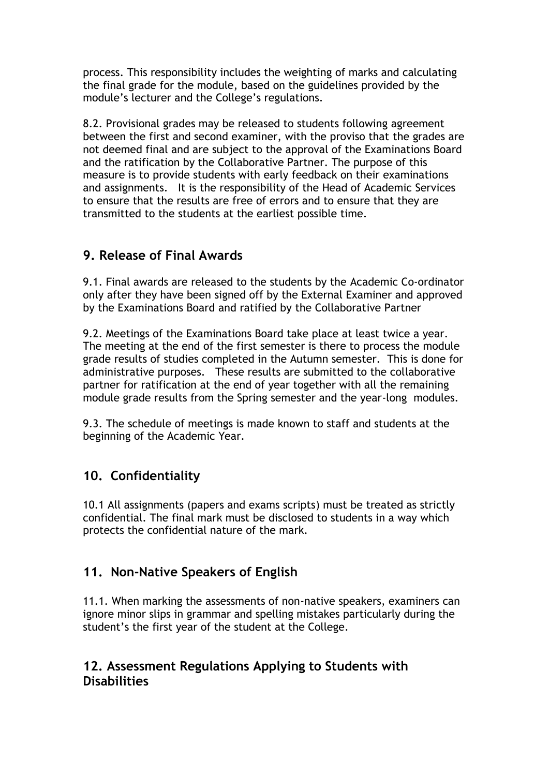process. This responsibility includes the weighting of marks and calculating the final grade for the module, based on the guidelines provided by the module's lecturer and the College's regulations.

8.2. Provisional grades may be released to students following agreement between the first and second examiner, with the proviso that the grades are not deemed final and are subject to the approval of the Examinations Board and the ratification by the Collaborative Partner. The purpose of this measure is to provide students with early feedback on their examinations and assignments. It is the responsibility of the Head of Academic Services to ensure that the results are free of errors and to ensure that they are transmitted to the students at the earliest possible time.

## **9. Release of Final Awards**

9.1. Final awards are released to the students by the Academic Co-ordinator only after they have been signed off by the External Examiner and approved by the Examinations Board and ratified by the Collaborative Partner

9.2. Meetings of the Examinations Board take place at least twice a year. The meeting at the end of the first semester is there to process the module grade results of studies completed in the Autumn semester. This is done for administrative purposes. These results are submitted to the collaborative partner for ratification at the end of year together with all the remaining module grade results from the Spring semester and the year-long modules.

9.3. The schedule of meetings is made known to staff and students at the beginning of the Academic Year.

# **10. Confidentiality**

10.1 All assignments (papers and exams scripts) must be treated as strictly confidential. The final mark must be disclosed to students in a way which protects the confidential nature of the mark.

# **11. Non-Native Speakers of English**

11.1. When marking the assessments of non-native speakers, examiners can ignore minor slips in grammar and spelling mistakes particularly during the student's the first year of the student at the College.

## **12. Assessment Regulations Applying to Students with Disabilities**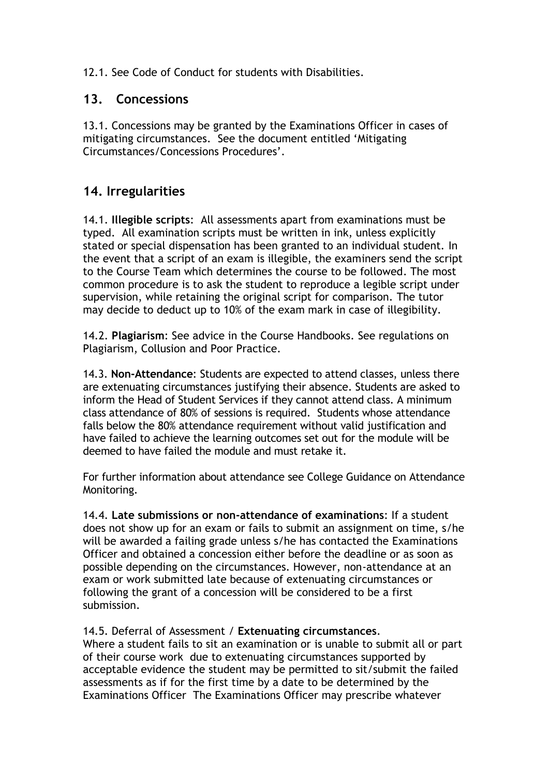### 12.1. See Code of Conduct for students with Disabilities.

## **13. Concessions**

13.1. Concessions may be granted by the Examinations Officer in cases of mitigating circumstances. See the document entitled 'Mitigating Circumstances/Concessions Procedures'.

## **14. Irregularities**

14.1. **Illegible scripts**: All assessments apart from examinations must be typed. All examination scripts must be written in ink, unless explicitly stated or special dispensation has been granted to an individual student. In the event that a script of an exam is illegible, the examiners send the script to the Course Team which determines the course to be followed. The most common procedure is to ask the student to reproduce a legible script under supervision, while retaining the original script for comparison. The tutor may decide to deduct up to 10% of the exam mark in case of illegibility.

14.2. **Plagiarism**: See advice in the Course Handbooks. See regulations on Plagiarism, Collusion and Poor Practice.

14.3. **Non-Attendance**: Students are expected to attend classes, unless there are extenuating circumstances justifying their absence. Students are asked to inform the Head of Student Services if they cannot attend class. A minimum class attendance of 80% of sessions is required. Students whose attendance falls below the 80% attendance requirement without valid justification and have failed to achieve the learning outcomes set out for the module will be deemed to have failed the module and must retake it.

For further information about attendance see College Guidance on Attendance Monitoring.

14.4. **Late submissions or non-attendance of examinations**: If a student does not show up for an exam or fails to submit an assignment on time, s/he will be awarded a failing grade unless s/he has contacted the Examinations Officer and obtained a concession either before the deadline or as soon as possible depending on the circumstances. However, non-attendance at an exam or work submitted late because of extenuating circumstances or following the grant of a concession will be considered to be a first submission.

### 14.5. Deferral of Assessment / **Extenuating circumstances**.

Where a student fails to sit an examination or is unable to submit all or part of their course work due to extenuating circumstances supported by acceptable evidence the student may be permitted to sit/submit the failed assessments as if for the first time by a date to be determined by the Examinations Officer The Examinations Officer may prescribe whatever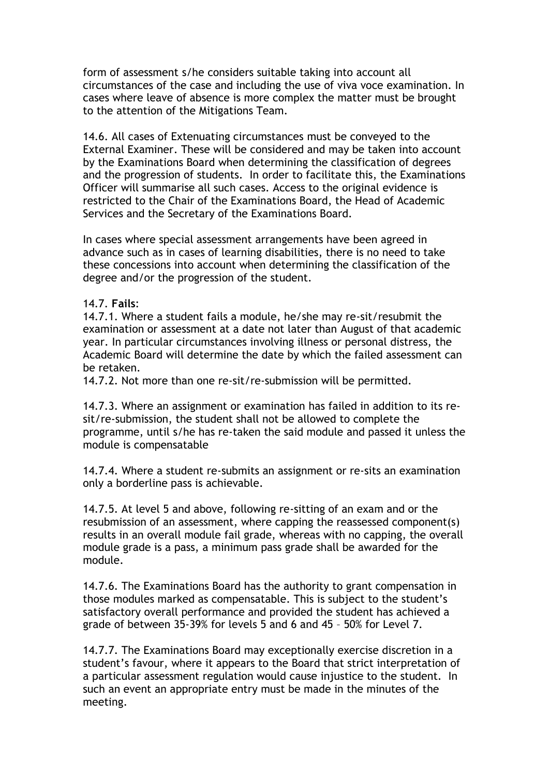form of assessment s/he considers suitable taking into account all circumstances of the case and including the use of viva voce examination. In cases where leave of absence is more complex the matter must be brought to the attention of the Mitigations Team.

14.6. All cases of Extenuating circumstances must be conveyed to the External Examiner. These will be considered and may be taken into account by the Examinations Board when determining the classification of degrees and the progression of students. In order to facilitate this, the Examinations Officer will summarise all such cases. Access to the original evidence is restricted to the Chair of the Examinations Board, the Head of Academic Services and the Secretary of the Examinations Board.

In cases where special assessment arrangements have been agreed in advance such as in cases of learning disabilities, there is no need to take these concessions into account when determining the classification of the degree and/or the progression of the student.

#### 14.7. **Fails**:

14.7.1. Where a student fails a module, he/she may re-sit/resubmit the examination or assessment at a date not later than August of that academic year. In particular circumstances involving illness or personal distress, the Academic Board will determine the date by which the failed assessment can be retaken.

14.7.2. Not more than one re-sit/re-submission will be permitted.

14.7.3. Where an assignment or examination has failed in addition to its resit/re-submission, the student shall not be allowed to complete the programme, until s/he has re-taken the said module and passed it unless the module is compensatable

14.7.4. Where a student re-submits an assignment or re-sits an examination only a borderline pass is achievable.

14.7.5. At level 5 and above, following re-sitting of an exam and or the resubmission of an assessment, where capping the reassessed component(s) results in an overall module fail grade, whereas with no capping, the overall module grade is a pass, a minimum pass grade shall be awarded for the module.

14.7.6. The Examinations Board has the authority to grant compensation in those modules marked as compensatable. This is subject to the student's satisfactory overall performance and provided the student has achieved a grade of between 35-39% for levels 5 and 6 and 45 – 50% for Level 7.

14.7.7. The Examinations Board may exceptionally exercise discretion in a student's favour, where it appears to the Board that strict interpretation of a particular assessment regulation would cause injustice to the student. In such an event an appropriate entry must be made in the minutes of the meeting.